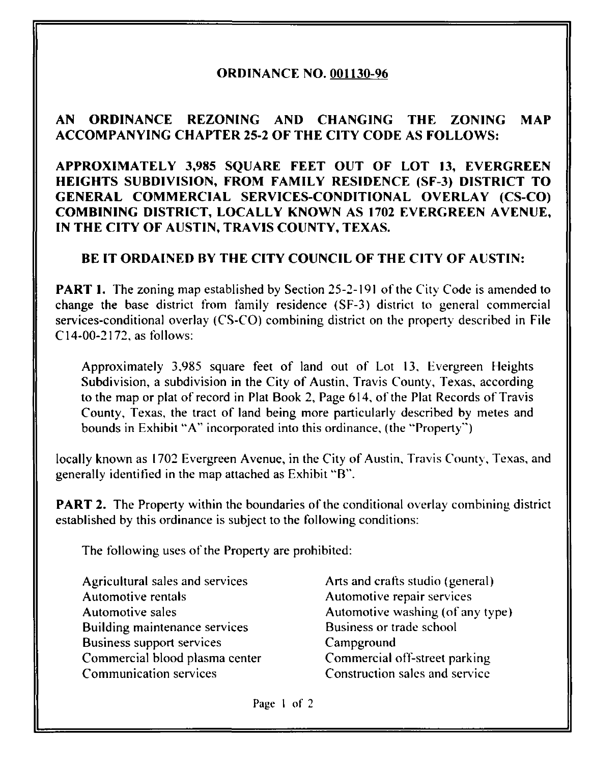## ORDINANCE NO. 001130-96

## AN ORDINANCE REZONING AND CHANGING THE ZONING MAP ACCOMPANYING CHAPTER 25-2 OF THE CITY CODE AS FOLLOWS:

APPROXIMATELY 3,985 SQUARE FEET OUT OF LOT 13, EVERGREEN HEIGHTS SUBDIVISION, FROM FAMILY RESIDENCE (SF-3) DISTRICT TO GENERAL COMMERCIAL SERVICES-CONDITIONAL OVERLAY (CS-CO) COMBINING DISTRICT, LOCALLY KNOWN AS 1702 EVERGREEN AVENUE, IN THE CITY OF AUSTIN, TRAVIS COUNTY, TEXAS.

## BE IT ORDAINED BY THE CITY COUNCIL OF THE CITY OF AUSTIN:

**PART 1.** The zoning map established by Section 25-2-191 of the City Code is amended to change the base district from family residence (SF-3) district to general commercial services-conditional overlay (CS-CO) combining district on the property described in File C14-00-2172, as follows:

Approximately 3,985 square feet of land out of Lot 13, Evergreen Heights Subdivision, a subdivision in the City of Austin, Travis County, Texas, according to the map or plat of record in Plat Book 2, Page 614, of the Plat Records of Travis County, Texas, the tract of land being more particularly described by metes and bounds in Exhibit "A" incorporated into this ordinance, (the "Property")

locally known as 1702 Evergreen Avenue, in the City of Austin, Travis County, Texas, and generally identified in the map attached as Exhibit "B".

**PART 2.** The Property within the boundaries of the conditional overlay combining district established by this ordinance is subject to the following conditions:

The following uses of the Property are prohibited:

Agricultural sales and services Automotive rentals Automotive sales Building maintenance services Business support services Commercial blood plasma center Communication services

Arts and crafts studio (general) Automotive repair services Automotive washing (of any type) Business or trade school Campground Commercial off-street parking Construction sales and service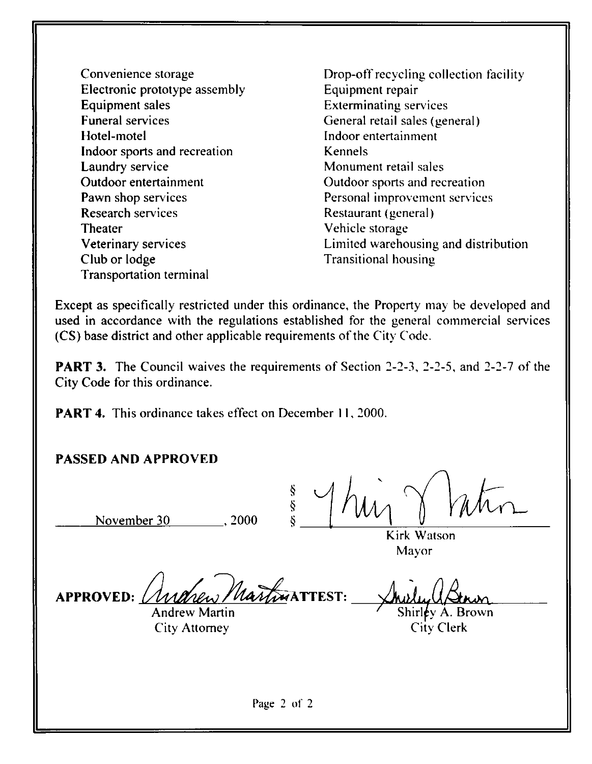- Convenience storage Electronic prototype assembly Equipment sales Funeral services Hotel-motel Indoor sports and recreation Laundry service Outdoor entertainment Pawn shop services Research services Theater Veterinary services Club or lodge Transportation terminal
- Drop-off recycling collection facility Equipment repair Exterminating services General retail sales (general) Indoor entertainment Kennels Monument retail sales Outdoor sports and recreation Personal improvement services Restaurant (general) Vehicle storage Limited warehousing and distribution Transitional housing

Except as specifically restricted under this ordinance, the Property may be developed and used in accordance with the regulations established for the general commercial services (CS) base district and other applicable requirements of the City Code.

**PART 3.** The Council waives the requirements of Section 2-2-3, 2-2-5, and 2-2-7 of the City Code for this ordinance.

**PART 4.** This ordinance takes effect on December 11, 2000.

## PASSED AND APPROVED

November 30 ..., 2000

Š ş

Kirk Watson Mayor

APPROVED: *(Indrew Martin* ATTEST:

 $\overline{\mathbf{M}}$ 

Shirley A. Brown Citv Clerk

Andrew Martin City Attorney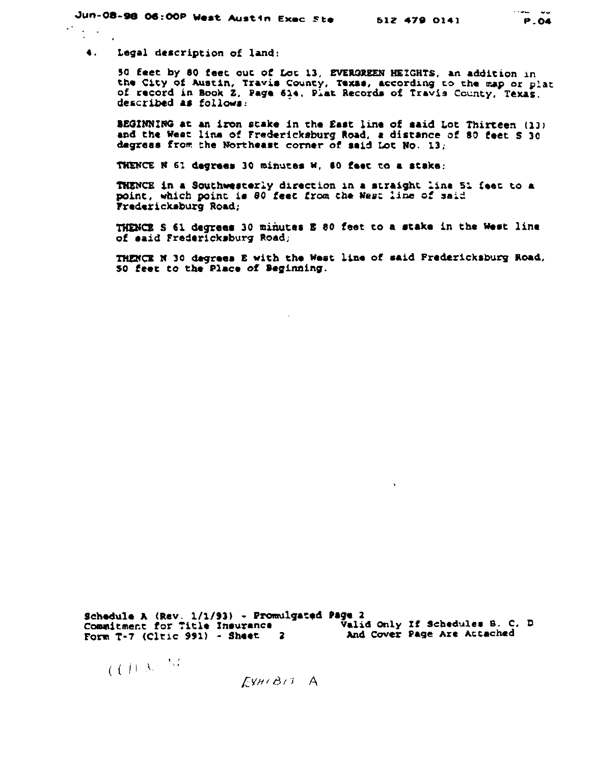4. Legal description of land:

50 feet by 80 feet out of Lot 13, EVER3REEN HEIGHTS, an addition in the City of Austin, Travis County. Texas, according to the map or plat of record in Book Z, Page 614, Plat Records of Travis County, Texas. described as follows:

BEGINNING at an iron stake in the East line of said Lot Thirteen (13) and the Weat line of Fredericksburg Road, a distance of 80 feet S 30 degrees from the Northeast corner of said Lot No. 13,

THENCE N 61 degrees 30 minutes w, 80 feet to a stake;

THENCE in a Southwesterly direction in a straight line 51 Ceet to a point, which point is SO feec from the Wesi line of said Fredericksburg Road;

THENCE S €1 degrees 30 minutes B 80 feet to a stake in the West line of said Fredericksburg Road;

THENCK N 30 degrees B with the West line of said Fredericksburg Road. SO feet to the Place of Beginning.

 $\mathbf{v}$ 

Schedule A (Rev. 1/1/93) - Promulgated Page 2 Commitment for Title Insurance - - - Valid Only If Schedules B. C. D Commitment for Title Insurance<br>Form T-7 (Cltic 991) - Sheet 2 And Cover Page Are Attached

$$
e\in U^{1+\lfloor\lambda_1\rfloor+\lceil\lambda_2\rfloor}
$$

 $EWH(B)$ <sup>T</sup> A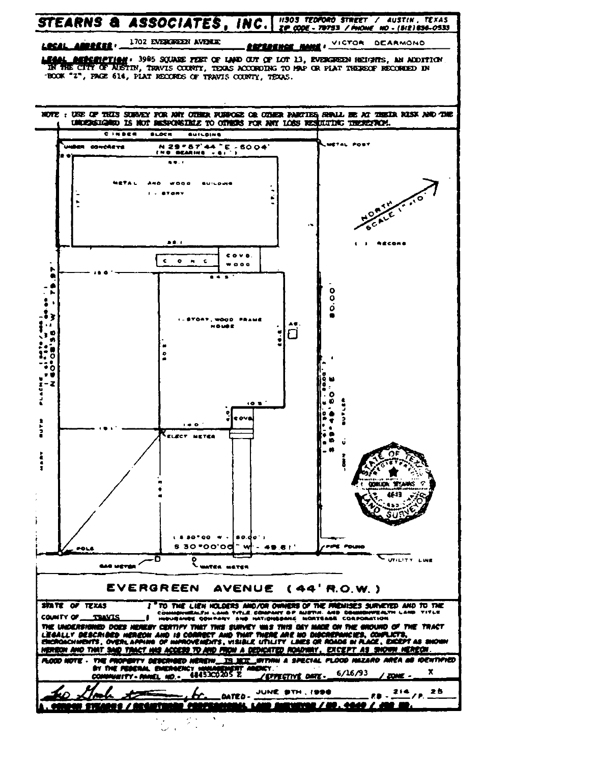